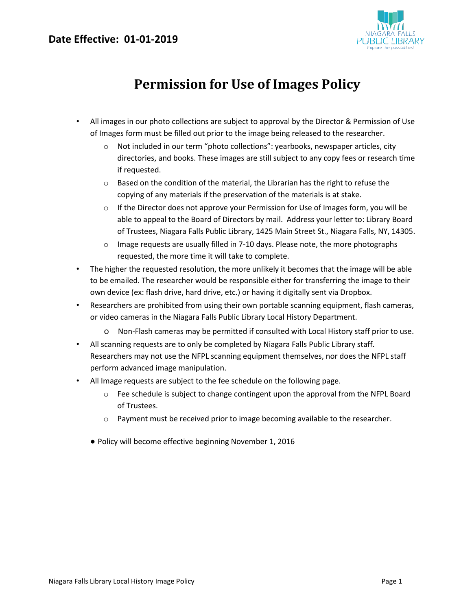### **Date Effective: 01-01-2019**



# **Permission for Use of Images Policy**

- All images in our photo collections are subject to approval by the Director & Permission of Use of Images form must be filled out prior to the image being released to the researcher.
	- o Not included in our term "photo collections": yearbooks, newspaper articles, city directories, and books. These images are still subject to any copy fees or research time if requested.
	- $\circ$  Based on the condition of the material, the Librarian has the right to refuse the copying of any materials if the preservation of the materials is at stake.
	- $\circ$  If the Director does not approve your Permission for Use of Images form, you will be able to appeal to the Board of Directors by mail. Address your letter to: Library Board of Trustees, Niagara Falls Public Library, 1425 Main Street St., Niagara Falls, NY, 14305.
	- $\circ$  Image requests are usually filled in 7-10 days. Please note, the more photographs requested, the more time it will take to complete.
- The higher the requested resolution, the more unlikely it becomes that the image will be able to be emailed. The researcher would be responsible either for transferring the image to their own device (ex: flash drive, hard drive, etc.) or having it digitally sent via Dropbox.
- Researchers are prohibited from using their own portable scanning equipment, flash cameras, or video cameras in the Niagara Falls Public Library Local History Department.
	- o Non-Flash cameras may be permitted if consulted with Local History staff prior to use.
- All scanning requests are to only be completed by Niagara Falls Public Library staff. Researchers may not use the NFPL scanning equipment themselves, nor does the NFPL staff perform advanced image manipulation.
- All Image requests are subject to the fee schedule on the following page.
	- o Fee schedule is subject to change contingent upon the approval from the NFPL Board of Trustees.
	- o Payment must be received prior to image becoming available to the researcher.
	- Policy will become effective beginning November 1, 2016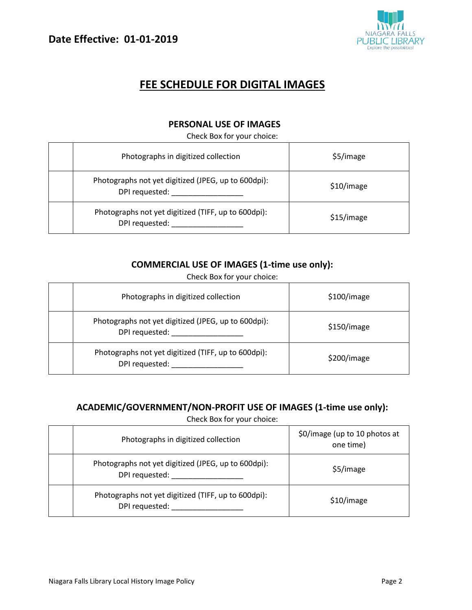

## **FEE SCHEDULE FOR DIGITAL IMAGES**

### **PERSONAL USE OF IMAGES**

Check Box for your choice:

| Photographs in digitized collection                                   | \$5/image  |
|-----------------------------------------------------------------------|------------|
| Photographs not yet digitized (JPEG, up to 600dpi):<br>DPI requested: | \$10/image |
| Photographs not yet digitized (TIFF, up to 600dpi):<br>DPI requested: | \$15/image |

### **COMMERCIAL USE OF IMAGES (1-time use only):**

Check Box for your choice:

| Photographs in digitized collection                                   | \$100/image |
|-----------------------------------------------------------------------|-------------|
| Photographs not yet digitized (JPEG, up to 600dpi):<br>DPI requested: | \$150/image |
| Photographs not yet digitized (TIFF, up to 600dpi):<br>DPI requested: | \$200/image |

#### **ACADEMIC/GOVERNMENT/NON-PROFIT USE OF IMAGES (1-time use only):**

Check Box for your choice:

| Photographs in digitized collection                                   | \$0/image (up to 10 photos at<br>one time) |
|-----------------------------------------------------------------------|--------------------------------------------|
| Photographs not yet digitized (JPEG, up to 600dpi):<br>DPI requested: | \$5/image                                  |
| Photographs not yet digitized (TIFF, up to 600dpi):<br>DPI requested: | \$10/image                                 |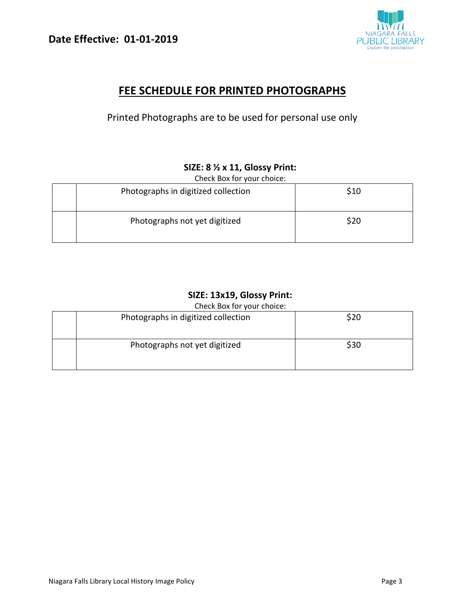

## **FEE SCHEDULE FOR PRINTED PHOTOGRAPHS**

Printed Photographs are to be used for personal use only

### **SIZE: 8 ½ x 11, Glossy Print:**

Check Box for your choice:

| Photographs in digitized collection | \$10 |
|-------------------------------------|------|
| Photographs not yet digitized       | \$20 |

### **SIZE: 13x19, Glossy Print:**

Check Box for your choice:

| Photographs in digitized collection | \$20 |  |  |  |
|-------------------------------------|------|--|--|--|
| Photographs not yet digitized       | \$30 |  |  |  |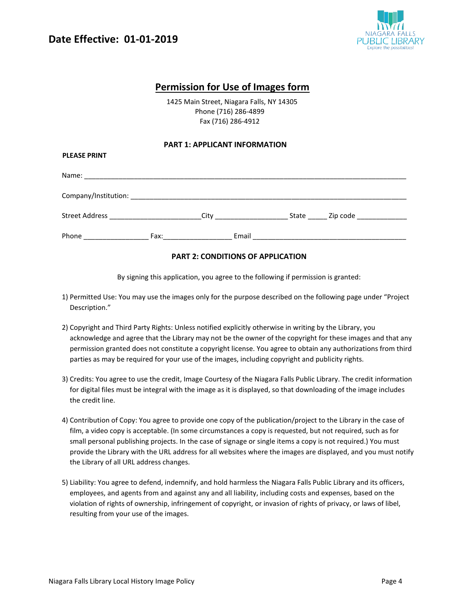**PLEASE PRINT** 



### **Permission for Use of Images form**

 1425 Main Street, Niagara Falls, NY 14305 Phone (716) 286-4899 Fax (716) 286-4912

#### **PART 1: APPLICANT INFORMATION**

| 1 LLAJL I IVIIV I      |                                                                                                                                                                                                                                |  |                                              |  |
|------------------------|--------------------------------------------------------------------------------------------------------------------------------------------------------------------------------------------------------------------------------|--|----------------------------------------------|--|
|                        |                                                                                                                                                                                                                                |  |                                              |  |
|                        |                                                                                                                                                                                                                                |  |                                              |  |
|                        |                                                                                                                                                                                                                                |  | State ______ Zip code ______________         |  |
| Phone ________________ | Fax: The contract of the contract of the contract of the contract of the contract of the contract of the contract of the contract of the contract of the contract of the contract of the contract of the contract of the contr |  | Email <u>_______________________________</u> |  |

#### **PART 2: CONDITIONS OF APPLICATION**

By signing this application, you agree to the following if permission is granted:

- 1) Permitted Use: You may use the images only for the purpose described on the following page under "Project Description."
- 2) Copyright and Third Party Rights: Unless notified explicitly otherwise in writing by the Library, you acknowledge and agree that the Library may not be the owner of the copyright for these images and that any permission granted does not constitute a copyright license. You agree to obtain any authorizations from third parties as may be required for your use of the images, including copyright and publicity rights.
- 3) Credits: You agree to use the credit, Image Courtesy of the Niagara Falls Public Library. The credit information for digital files must be integral with the image as it is displayed, so that downloading of the image includes the credit line.
- 4) Contribution of Copy: You agree to provide one copy of the publication/project to the Library in the case of film, a video copy is acceptable. (In some circumstances a copy is requested, but not required, such as for small personal publishing projects. In the case of signage or single items a copy is not required.) You must provide the Library with the URL address for all websites where the images are displayed, and you must notify the Library of all URL address changes.
- 5) Liability: You agree to defend, indemnify, and hold harmless the Niagara Falls Public Library and its officers, employees, and agents from and against any and all liability, including costs and expenses, based on the violation of rights of ownership, infringement of copyright, or invasion of rights of privacy, or laws of libel, resulting from your use of the images.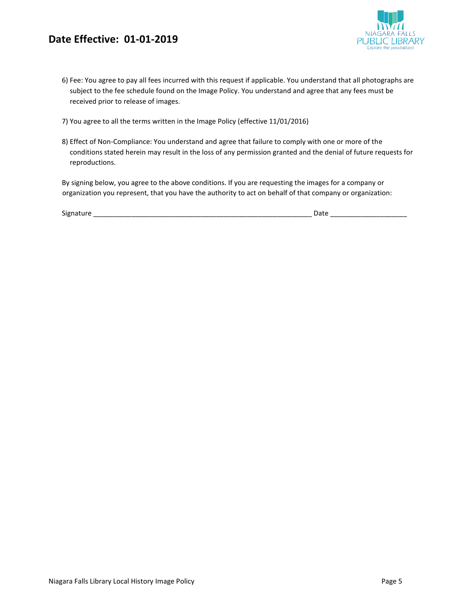## **Date Effective: 01-01-2019**



- 7) You agree to all the terms written in the Image Policy (effective 11/01/2016)
- 8) Effect of Non-Compliance: You understand and agree that failure to comply with one or more of the conditions stated herein may result in the loss of any permission granted and the denial of future requests for reproductions.

By signing below, you agree to the above conditions. If you are requesting the images for a company or organization you represent, that you have the authority to act on behalf of that company or organization:

| Signature |     | Jdle |      |
|-----------|-----|------|------|
|           | ___ |      | ____ |

JBLIC LIBRARY Explore the possibilities.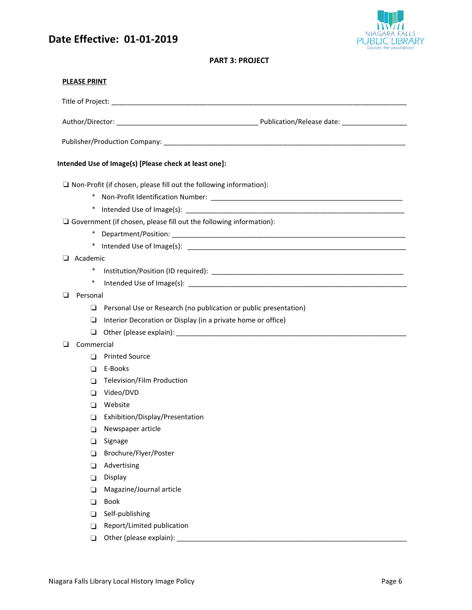## **Date Effective: 01-01-2019**



#### **PART 3: PROJECT**

| <b>PLEASE PRINT</b> |                                                                           |
|---------------------|---------------------------------------------------------------------------|
|                     |                                                                           |
|                     |                                                                           |
|                     |                                                                           |
|                     | Intended Use of Image(s) [Please check at least one]:                     |
|                     | $\Box$ Non-Profit (if chosen, please fill out the following information): |
|                     |                                                                           |
|                     |                                                                           |
|                     | $\Box$ Government (if chosen, please fill out the following information): |
|                     |                                                                           |
|                     |                                                                           |
| $\Box$ Academic     |                                                                           |
| $\star$             |                                                                           |
| $^{\star}$          |                                                                           |
| ◘<br>Personal       |                                                                           |
|                     | $\Box$ Personal Use or Research (no publication or public presentation)   |
| ❏                   | Interior Decoration or Display (in a private home or office)              |
| ⊔                   |                                                                           |
| Commercial<br>□     |                                                                           |
| П                   | <b>Printed Source</b>                                                     |
| □                   | E-Books                                                                   |
| ∩                   | Television/Film Production                                                |
| □                   | Video/DVD                                                                 |
| □                   | Website                                                                   |
|                     | Exhibition/Display/Presentation<br>$\Box$                                 |
| □                   | Newspaper article                                                         |
| ப                   | Signage                                                                   |
| □                   | Brochure/Flyer/Poster                                                     |
| ◘                   | Advertising                                                               |
| □                   | Display                                                                   |
| □                   | Magazine/Journal article                                                  |
| ◻                   | Book                                                                      |
| □                   | Self-publishing                                                           |
| ◻                   | Report/Limited publication                                                |
| $\Box$              | Other (please explain):                                                   |